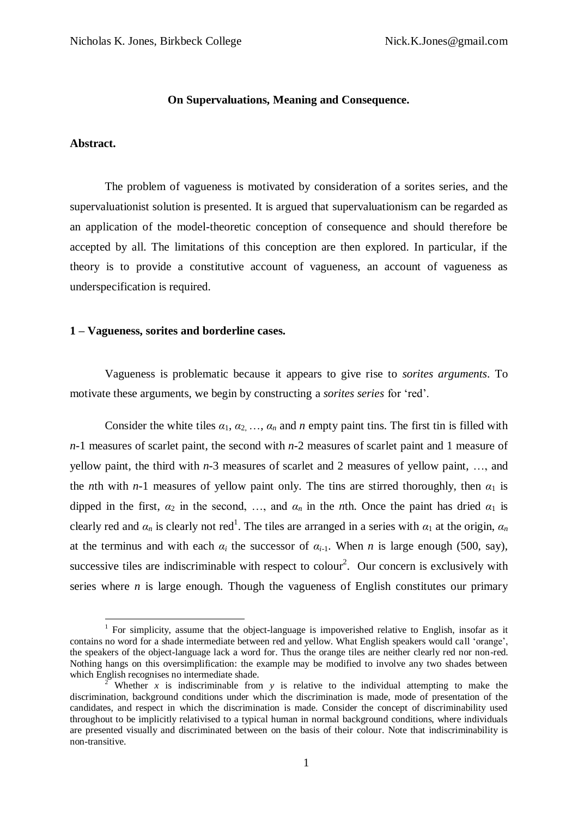# **On Supervaluations, Meaning and Consequence.**

## **Abstract.**

1

The problem of vagueness is motivated by consideration of a sorites series, and the supervaluationist solution is presented. It is argued that supervaluationism can be regarded as an application of the model-theoretic conception of consequence and should therefore be accepted by all. The limitations of this conception are then explored. In particular, if the theory is to provide a constitutive account of vagueness, an account of vagueness as underspecification is required.

## **1 – Vagueness, sorites and borderline cases.**

Vagueness is problematic because it appears to give rise to *sorites arguments*. To motivate these arguments, we begin by constructing a *sorites series* for "red".

Consider the white tiles  $\alpha_1, \alpha_2, \ldots, \alpha_n$  and *n* empty paint tins. The first tin is filled with *n*-1 measures of scarlet paint, the second with *n*-2 measures of scarlet paint and 1 measure of yellow paint, the third with *n*-3 measures of scarlet and 2 measures of yellow paint, …, and the *n*th with *n*-1 measures of yellow paint only. The tins are stirred thoroughly, then  $\alpha_1$  is dipped in the first,  $\alpha_2$  in the second, ..., and  $\alpha_n$  in the *n*th. Once the paint has dried  $\alpha_1$  is clearly red and  $\alpha_n$  is clearly not red<sup>1</sup>. The tiles are arranged in a series with  $\alpha_1$  at the origin,  $\alpha_n$ at the terminus and with each  $\alpha_i$  the successor of  $\alpha_{i-1}$ . When *n* is large enough (500, say), successive tiles are indiscriminable with respect to colour<sup>2</sup>. Our concern is exclusively with series where  $n$  is large enough. Though the vagueness of English constitutes our primary

<sup>&</sup>lt;sup>1</sup> For simplicity, assume that the object-language is impoverished relative to English, insofar as it contains no word for a shade intermediate between red and yellow. What English speakers would call "orange", the speakers of the object-language lack a word for. Thus the orange tiles are neither clearly red nor non-red. Nothing hangs on this oversimplification: the example may be modified to involve any two shades between which English recognises no intermediate shade.

Whether *x* is indiscriminable from *y* is relative to the individual attempting to make the discrimination, background conditions under which the discrimination is made, mode of presentation of the candidates, and respect in which the discrimination is made. Consider the concept of discriminability used throughout to be implicitly relativised to a typical human in normal background conditions, where individuals are presented visually and discriminated between on the basis of their colour. Note that indiscriminability is non-transitive.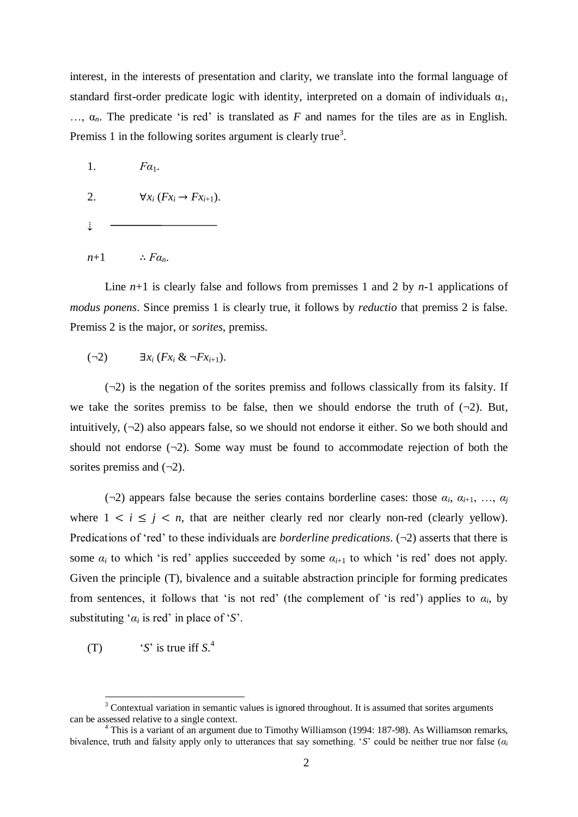interest, in the interests of presentation and clarity, we translate into the formal language of standard first-order predicate logic with identity, interpreted on a domain of individuals  $\alpha_1$ ,  $\ldots$ ,  $\alpha_n$ . The predicate 'is red' is translated as *F* and names for the tiles are as in English. Premiss 1 in the following sorites argument is clearly true<sup>3</sup>.

1. 
$$
F\alpha_1
$$
.  
\n2.  $\forall x_i (Fx_i \rightarrow Fx_{i+1})$ .  
\n  
\n $\downarrow$   $\longrightarrow$   
\n $n+1$   $\therefore Fa_n$ .

Line *n*+1 is clearly false and follows from premisses 1 and 2 by *n*-1 applications of *modus ponens*. Since premiss 1 is clearly true, it follows by *reductio* that premiss 2 is false. Premiss 2 is the major, or *sorites*, premiss.

$$
(\neg 2) \qquad \exists x_i \, (Fx_i \& \neg Fx_{i+1}).
$$

 $(\neg 2)$  is the negation of the sorites premiss and follows classically from its falsity. If we take the sorites premiss to be false, then we should endorse the truth of  $(\neg 2)$ . But, intuitively,  $(\neg 2)$  also appears false, so we should not endorse it either. So we both should and should not endorse  $(\neg 2)$ . Some way must be found to accommodate rejection of both the sorites premiss and  $(\neg 2)$ .

( $\neg$ 2) appears false because the series contains borderline cases: those  $\alpha_i$ ,  $\alpha_{i+1}$ , ...,  $\alpha_j$ where  $1 \le i \le j \le n$ , that are neither clearly red nor clearly non-red (clearly yellow). Predications of "red" to these individuals are *borderline predications*. (¬2) asserts that there is some  $\alpha_i$  to which 'is red' applies succeeded by some  $\alpha_{i+1}$  to which 'is red' does not apply. Given the principle (T), bivalence and a suitable abstraction principle for forming predicates from sentences, it follows that 'is not red' (the complement of 'is red') applies to  $a_i$ , by substituting ' $\alpha_i$  is red' in place of '*S*'.

(T)  $\qquad \qquad$  *'S*' is true iff *S*<sup>4</sup>

<u>.</u>

<sup>&</sup>lt;sup>3</sup> Contextual variation in semantic values is ignored throughout. It is assumed that sorites arguments can be assessed relative to a single context.

 $4$  This is a variant of an argument due to Timothy Williamson (1994: 187-98). As Williamson remarks, bivalence, truth and falsity apply only to utterances that say something. "*S*" could be neither true nor false (*αi*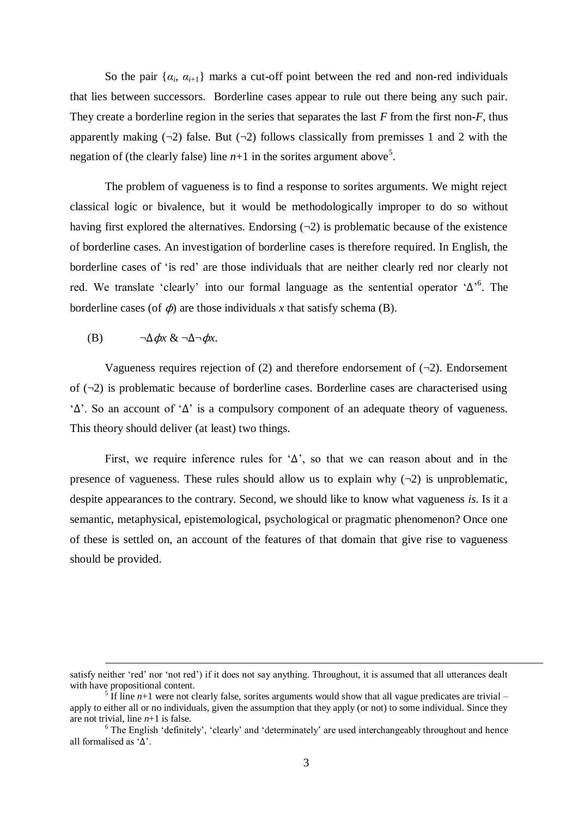So the pair  $\{\alpha_i, \alpha_{i+1}\}$  marks a cut-off point between the red and non-red individuals that lies between successors. Borderline cases appear to rule out there being any such pair. They create a borderline region in the series that separates the last *F* from the first non-*F*, thus apparently making  $(\neg 2)$  false. But  $(\neg 2)$  follows classically from premisses 1 and 2 with the negation of (the clearly false) line  $n+1$  in the sorites argument above<sup>5</sup>.

The problem of vagueness is to find a response to sorites arguments. We might reject classical logic or bivalence, but it would be methodologically improper to do so without having first explored the alternatives. Endorsing  $(\neg 2)$  is problematic because of the existence of borderline cases. An investigation of borderline cases is therefore required. In English, the borderline cases of 'is red' are those individuals that are neither clearly red nor clearly not red. We translate 'clearly' into our formal language as the sentential operator ' $\Delta^{6}$ . The borderline cases (of  $\phi$ ) are those individuals *x* that satisfy schema (B).

(B)  $\neg \Delta \phi x \& \neg \Delta \neg \phi x$ .

<u>.</u>

Vagueness requires rejection of (2) and therefore endorsement of  $(\neg 2)$ . Endorsement of  $(\neg 2)$  is problematic because of borderline cases. Borderline cases are characterised using "∆". So an account of "∆" is a compulsory component of an adequate theory of vagueness. This theory should deliver (at least) two things.

First, we require inference rules for "∆", so that we can reason about and in the presence of vagueness. These rules should allow us to explain why  $(\neg 2)$  is unproblematic, despite appearances to the contrary. Second, we should like to know what vagueness *is*. Is it a semantic, metaphysical, epistemological, psychological or pragmatic phenomenon? Once one of these is settled on, an account of the features of that domain that give rise to vagueness should be provided.

satisfy neither 'red' nor 'not red') if it does not say anything. Throughout, it is assumed that all utterances dealt with have propositional content.

<sup>5</sup> If line  $n+1$  were not clearly false, sorites arguments would show that all vague predicates are trivial – apply to either all or no individuals, given the assumption that they apply (or not) to some individual. Since they are not trivial, line *n*+1 is false.

<sup>&</sup>lt;sup>6</sup> The English 'definitely', 'clearly' and 'determinately' are used interchangeably throughout and hence all formalised as "∆".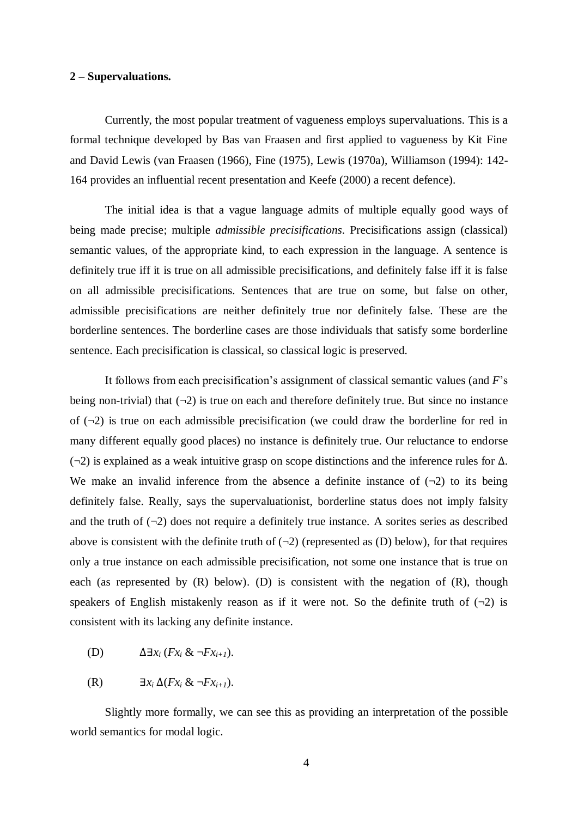# **2 – Supervaluations.**

Currently, the most popular treatment of vagueness employs supervaluations. This is a formal technique developed by Bas van Fraasen and first applied to vagueness by Kit Fine and David Lewis (van Fraasen (1966), Fine (1975), Lewis (1970a), Williamson (1994): 142- 164 provides an influential recent presentation and Keefe (2000) a recent defence).

The initial idea is that a vague language admits of multiple equally good ways of being made precise; multiple *admissible precisifications*. Precisifications assign (classical) semantic values, of the appropriate kind, to each expression in the language. A sentence is definitely true iff it is true on all admissible precisifications, and definitely false iff it is false on all admissible precisifications. Sentences that are true on some, but false on other, admissible precisifications are neither definitely true nor definitely false. These are the borderline sentences. The borderline cases are those individuals that satisfy some borderline sentence. Each precisification is classical, so classical logic is preserved.

It follows from each precisification's assignment of classical semantic values (and *F*'s being non-trivial) that  $(\neg 2)$  is true on each and therefore definitely true. But since no instance of  $(\neg 2)$  is true on each admissible precisification (we could draw the borderline for red in many different equally good places) no instance is definitely true. Our reluctance to endorse (¬2) is explained as a weak intuitive grasp on scope distinctions and the inference rules for ∆. We make an invalid inference from the absence a definite instance of  $(\neg 2)$  to its being definitely false. Really, says the supervaluationist, borderline status does not imply falsity and the truth of  $(\neg 2)$  does not require a definitely true instance. A sorites series as described above is consistent with the definite truth of  $(\neg 2)$  (represented as  $(D)$  below), for that requires only a true instance on each admissible precisification, not some one instance that is true on each (as represented by  $(R)$  below).  $(D)$  is consistent with the negation of  $(R)$ , though speakers of English mistakenly reason as if it were not. So the definite truth of  $(\neg 2)$  is consistent with its lacking any definite instance.

(D) ∆∃*x<sup>i</sup>* (*Fx<sup>i</sup>* & ¬*Fxi+1*).

(R) ∃*x<sup>i</sup>* ∆(*Fx<sup>i</sup>* & ¬*Fxi+1*).

Slightly more formally, we can see this as providing an interpretation of the possible world semantics for modal logic.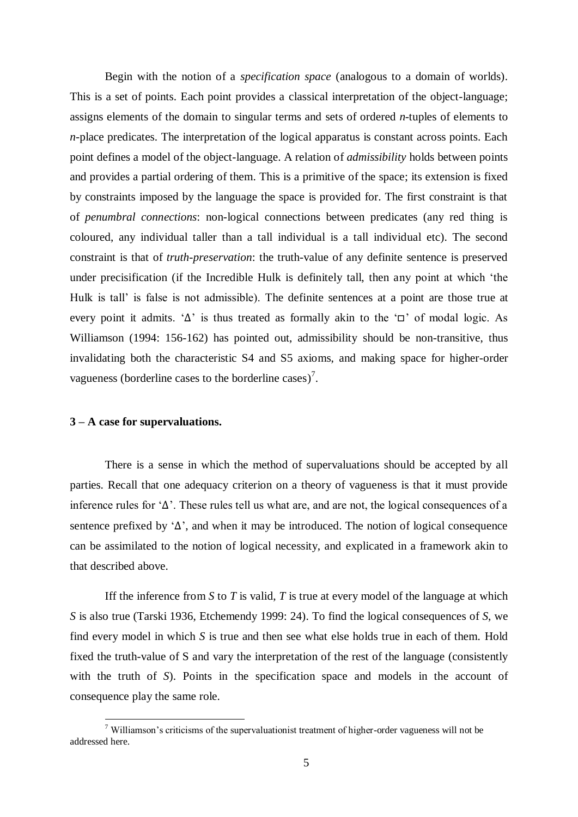Begin with the notion of a *specification space* (analogous to a domain of worlds). This is a set of points. Each point provides a classical interpretation of the object-language; assigns elements of the domain to singular terms and sets of ordered *n*-tuples of elements to *n*-place predicates. The interpretation of the logical apparatus is constant across points. Each point defines a model of the object-language. A relation of *admissibility* holds between points and provides a partial ordering of them. This is a primitive of the space; its extension is fixed by constraints imposed by the language the space is provided for. The first constraint is that of *penumbral connections*: non-logical connections between predicates (any red thing is coloured, any individual taller than a tall individual is a tall individual etc). The second constraint is that of *truth-preservation*: the truth-value of any definite sentence is preserved under precisification (if the Incredible Hulk is definitely tall, then any point at which "the Hulk is tall" is false is not admissible). The definite sentences at a point are those true at every point it admits. "∆" is thus treated as formally akin to the "□" of modal logic. As Williamson (1994: 156-162) has pointed out, admissibility should be non-transitive, thus invalidating both the characteristic S4 and S5 axioms, and making space for higher-order vagueness (borderline cases to the borderline cases)<sup>7</sup>.

# **3 – A case for supervaluations.**

There is a sense in which the method of supervaluations should be accepted by all parties. Recall that one adequacy criterion on a theory of vagueness is that it must provide inference rules for "∆". These rules tell us what are, and are not, the logical consequences of a sentence prefixed by 'Δ', and when it may be introduced. The notion of logical consequence can be assimilated to the notion of logical necessity, and explicated in a framework akin to that described above.

Iff the inference from *S* to *T* is valid, *T* is true at every model of the language at which *S* is also true (Tarski 1936, Etchemendy 1999: 24). To find the logical consequences of *S*, we find every model in which *S* is true and then see what else holds true in each of them. Hold fixed the truth-value of S and vary the interpretation of the rest of the language (consistently with the truth of *S*). Points in the specification space and models in the account of consequence play the same role.

<sup>1</sup>  $\frac{7}{1}$  Williamson's criticisms of the supervaluationist treatment of higher-order vagueness will not be addressed here.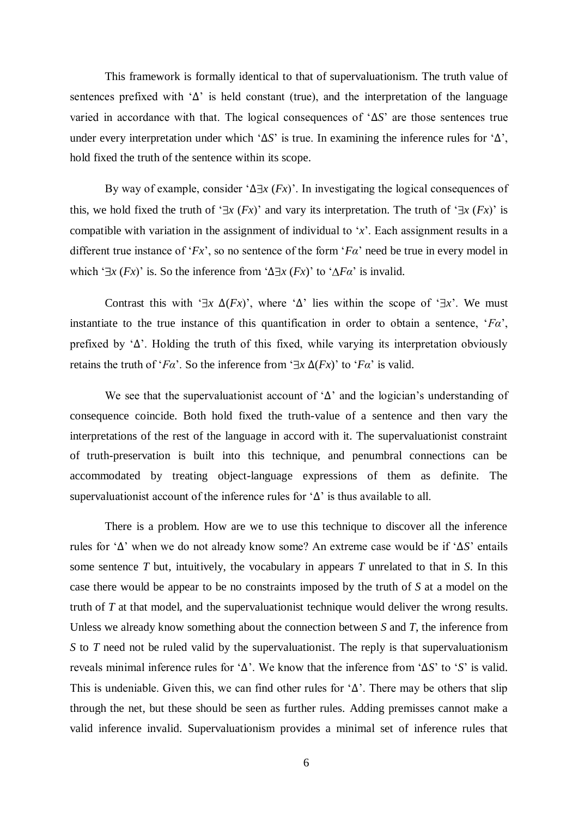This framework is formally identical to that of supervaluationism. The truth value of sentences prefixed with '∆' is held constant (true), and the interpretation of the language varied in accordance with that. The logical consequences of "∆*S*" are those sentences true under every interpretation under which "∆*S*" is true. In examining the inference rules for "∆", hold fixed the truth of the sentence within its scope.

By way of example, consider ' $\Delta \exists x$  (*Fx*)'. In investigating the logical consequences of this, we hold fixed the truth of  $\exists x (Fx)$  and vary its interpretation. The truth of  $\exists x (Fx)$  is compatible with variation in the assignment of individual to "*x*". Each assignment results in a different true instance of '*Fx*', so no sentence of the form '*Fa*' need be true in every model in which  $\exists x (Fx)$  is. So the inference from  $\Delta \exists x (Fx)$  to  $\Delta Fa$  is invalid.

Contrast this with ' $\exists x \Delta(Fx)$ ', where ' $\Delta$ ' lies within the scope of ' $\exists x$ '. We must instantiate to the true instance of this quantification in order to obtain a sentence, "*Fα*", prefixed by "∆". Holding the truth of this fixed, while varying its interpretation obviously retains the truth of '*Fα*'. So the inference from ' $\exists x \Delta(Fx)$ ' to '*Fα*' is valid.

We see that the supervaluationist account of "∆" and the logician"s understanding of consequence coincide. Both hold fixed the truth-value of a sentence and then vary the interpretations of the rest of the language in accord with it. The supervaluationist constraint of truth-preservation is built into this technique, and penumbral connections can be accommodated by treating object-language expressions of them as definite. The supervaluationist account of the inference rules for  $\Delta$  is thus available to all.

There is a problem. How are we to use this technique to discover all the inference rules for "∆" when we do not already know some? An extreme case would be if "∆*S*" entails some sentence *T* but, intuitively, the vocabulary in appears *T* unrelated to that in *S*. In this case there would be appear to be no constraints imposed by the truth of *S* at a model on the truth of *T* at that model, and the supervaluationist technique would deliver the wrong results. Unless we already know something about the connection between *S* and *T*, the inference from *S* to *T* need not be ruled valid by the supervaluationist. The reply is that supervaluationism reveals minimal inference rules for "∆". We know that the inference from "∆*S*" to "*S*" is valid. This is undeniable. Given this, we can find other rules for  $\Delta$ . There may be others that slip through the net, but these should be seen as further rules. Adding premisses cannot make a valid inference invalid. Supervaluationism provides a minimal set of inference rules that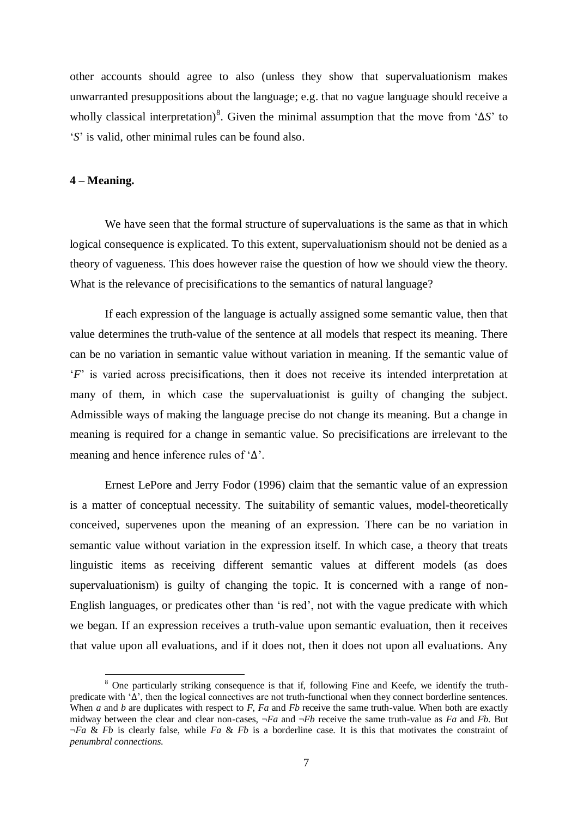other accounts should agree to also (unless they show that supervaluationism makes unwarranted presuppositions about the language; e.g. that no vague language should receive a wholly classical interpretation)<sup>8</sup>. Given the minimal assumption that the move from 'Δ*S*' to "*S*" is valid, other minimal rules can be found also.

## **4 – Meaning.**

1

We have seen that the formal structure of supervaluations is the same as that in which logical consequence is explicated. To this extent, supervaluationism should not be denied as a theory of vagueness. This does however raise the question of how we should view the theory. What is the relevance of precisifications to the semantics of natural language?

If each expression of the language is actually assigned some semantic value, then that value determines the truth-value of the sentence at all models that respect its meaning. There can be no variation in semantic value without variation in meaning. If the semantic value of *F* is varied across precisifications, then it does not receive its intended interpretation at many of them, in which case the supervaluationist is guilty of changing the subject. Admissible ways of making the language precise do not change its meaning. But a change in meaning is required for a change in semantic value. So precisifications are irrelevant to the meaning and hence inference rules of "∆".

Ernest LePore and Jerry Fodor (1996) claim that the semantic value of an expression is a matter of conceptual necessity. The suitability of semantic values, model-theoretically conceived, supervenes upon the meaning of an expression. There can be no variation in semantic value without variation in the expression itself. In which case, a theory that treats linguistic items as receiving different semantic values at different models (as does supervaluationism) is guilty of changing the topic. It is concerned with a range of non-English languages, or predicates other than "is red", not with the vague predicate with which we began. If an expression receives a truth-value upon semantic evaluation, then it receives that value upon all evaluations, and if it does not, then it does not upon all evaluations. Any

<sup>&</sup>lt;sup>8</sup> One particularly striking consequence is that if, following Fine and Keefe, we identify the truthpredicate with "∆", then the logical connectives are not truth-functional when they connect borderline sentences. When *a* and *b* are duplicates with respect to *F*, *Fa* and *Fb* receive the same truth-value. When both are exactly midway between the clear and clear non-cases, ¬*Fa* and ¬*Fb* receive the same truth-value as *Fa* and *Fb*. But ¬*Fa* & *Fb* is clearly false, while *Fa* & *Fb* is a borderline case. It is this that motivates the constraint of *penumbral connections*.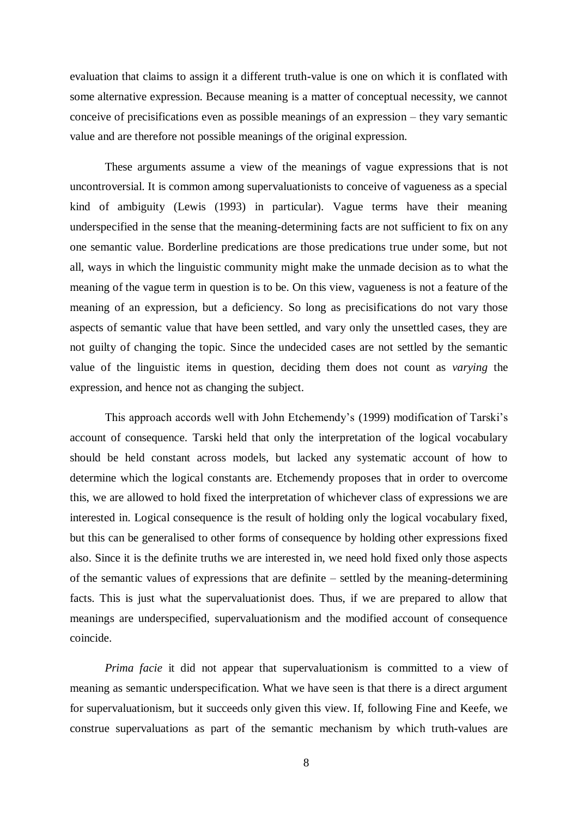evaluation that claims to assign it a different truth-value is one on which it is conflated with some alternative expression. Because meaning is a matter of conceptual necessity, we cannot conceive of precisifications even as possible meanings of an expression – they vary semantic value and are therefore not possible meanings of the original expression.

These arguments assume a view of the meanings of vague expressions that is not uncontroversial. It is common among supervaluationists to conceive of vagueness as a special kind of ambiguity (Lewis (1993) in particular). Vague terms have their meaning underspecified in the sense that the meaning-determining facts are not sufficient to fix on any one semantic value. Borderline predications are those predications true under some, but not all, ways in which the linguistic community might make the unmade decision as to what the meaning of the vague term in question is to be. On this view, vagueness is not a feature of the meaning of an expression, but a deficiency. So long as precisifications do not vary those aspects of semantic value that have been settled, and vary only the unsettled cases, they are not guilty of changing the topic. Since the undecided cases are not settled by the semantic value of the linguistic items in question, deciding them does not count as *varying* the expression, and hence not as changing the subject.

This approach accords well with John Etchemendy"s (1999) modification of Tarski"s account of consequence. Tarski held that only the interpretation of the logical vocabulary should be held constant across models, but lacked any systematic account of how to determine which the logical constants are. Etchemendy proposes that in order to overcome this, we are allowed to hold fixed the interpretation of whichever class of expressions we are interested in. Logical consequence is the result of holding only the logical vocabulary fixed, but this can be generalised to other forms of consequence by holding other expressions fixed also. Since it is the definite truths we are interested in, we need hold fixed only those aspects of the semantic values of expressions that are definite – settled by the meaning-determining facts. This is just what the supervaluationist does. Thus, if we are prepared to allow that meanings are underspecified, supervaluationism and the modified account of consequence coincide.

*Prima facie* it did not appear that supervaluationism is committed to a view of meaning as semantic underspecification. What we have seen is that there is a direct argument for supervaluationism, but it succeeds only given this view. If, following Fine and Keefe, we construe supervaluations as part of the semantic mechanism by which truth-values are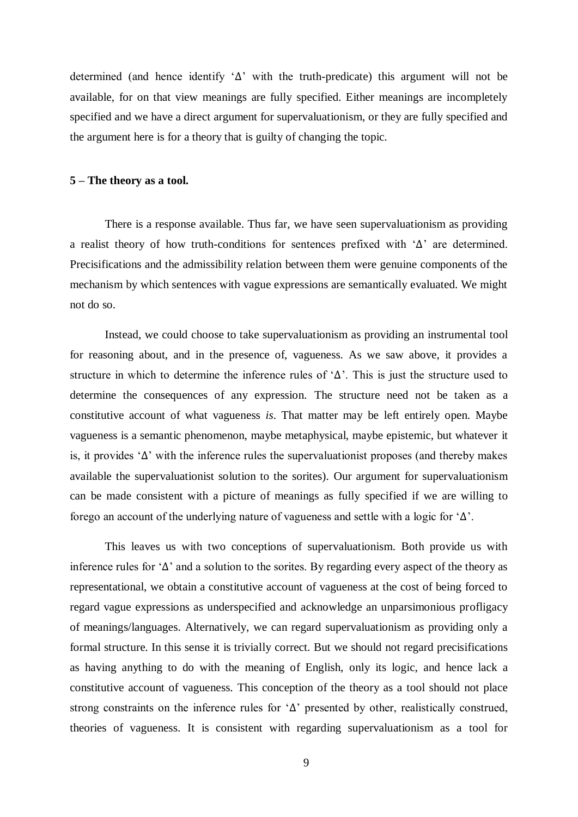determined (and hence identify "∆" with the truth-predicate) this argument will not be available, for on that view meanings are fully specified. Either meanings are incompletely specified and we have a direct argument for supervaluationism, or they are fully specified and the argument here is for a theory that is guilty of changing the topic.

### **5 – The theory as a tool.**

There is a response available. Thus far, we have seen supervaluationism as providing a realist theory of how truth-conditions for sentences prefixed with "∆" are determined. Precisifications and the admissibility relation between them were genuine components of the mechanism by which sentences with vague expressions are semantically evaluated. We might not do so.

Instead, we could choose to take supervaluationism as providing an instrumental tool for reasoning about, and in the presence of, vagueness. As we saw above, it provides a structure in which to determine the inference rules of "∆". This is just the structure used to determine the consequences of any expression. The structure need not be taken as a constitutive account of what vagueness *is*. That matter may be left entirely open. Maybe vagueness is a semantic phenomenon, maybe metaphysical, maybe epistemic, but whatever it is, it provides "∆" with the inference rules the supervaluationist proposes (and thereby makes available the supervaluationist solution to the sorites). Our argument for supervaluationism can be made consistent with a picture of meanings as fully specified if we are willing to forego an account of the underlying nature of vagueness and settle with a logic for "∆".

This leaves us with two conceptions of supervaluationism. Both provide us with inference rules for "∆" and a solution to the sorites. By regarding every aspect of the theory as representational, we obtain a constitutive account of vagueness at the cost of being forced to regard vague expressions as underspecified and acknowledge an unparsimonious profligacy of meanings/languages. Alternatively, we can regard supervaluationism as providing only a formal structure. In this sense it is trivially correct. But we should not regard precisifications as having anything to do with the meaning of English, only its logic, and hence lack a constitutive account of vagueness. This conception of the theory as a tool should not place strong constraints on the inference rules for "∆" presented by other, realistically construed, theories of vagueness. It is consistent with regarding supervaluationism as a tool for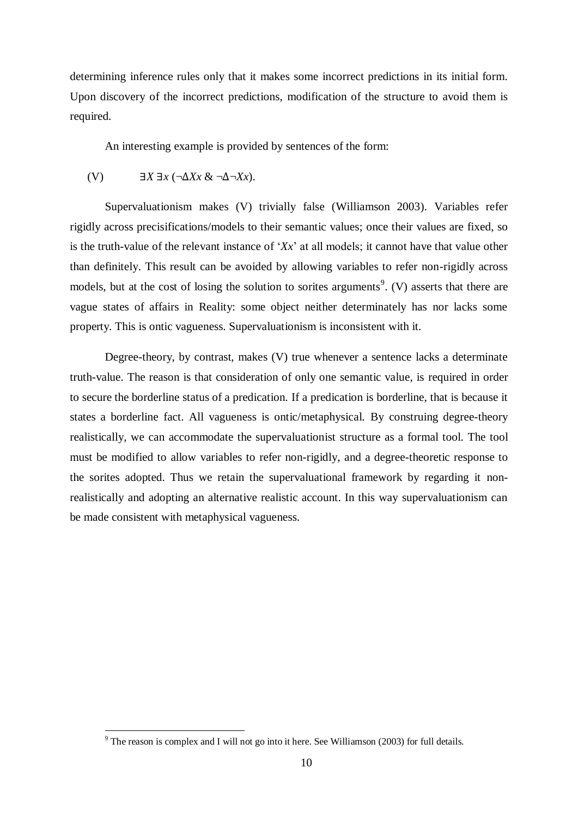determining inference rules only that it makes some incorrect predictions in its initial form. Upon discovery of the incorrect predictions, modification of the structure to avoid them is required.

An interesting example is provided by sentences of the form:

$$
(V) \t\t\t\t\exists X \exists x (\neg \Delta X x \& \neg \Delta \neg X x).
$$

<u>.</u>

Supervaluationism makes (V) trivially false (Williamson 2003). Variables refer rigidly across precisifications/models to their semantic values; once their values are fixed, so is the truth-value of the relevant instance of "*Xx*" at all models; it cannot have that value other than definitely. This result can be avoided by allowing variables to refer non-rigidly across models, but at the cost of losing the solution to sorites arguments<sup>9</sup>. (V) asserts that there are vague states of affairs in Reality: some object neither determinately has nor lacks some property. This is ontic vagueness. Supervaluationism is inconsistent with it.

Degree-theory, by contrast, makes (V) true whenever a sentence lacks a determinate truth-value. The reason is that consideration of only one semantic value, is required in order to secure the borderline status of a predication. If a predication is borderline, that is because it states a borderline fact. All vagueness is ontic/metaphysical. By construing degree-theory realistically, we can accommodate the supervaluationist structure as a formal tool. The tool must be modified to allow variables to refer non-rigidly, and a degree-theoretic response to the sorites adopted. Thus we retain the supervaluational framework by regarding it nonrealistically and adopting an alternative realistic account. In this way supervaluationism can be made consistent with metaphysical vagueness.

 $9$  The reason is complex and I will not go into it here. See Williamson (2003) for full details.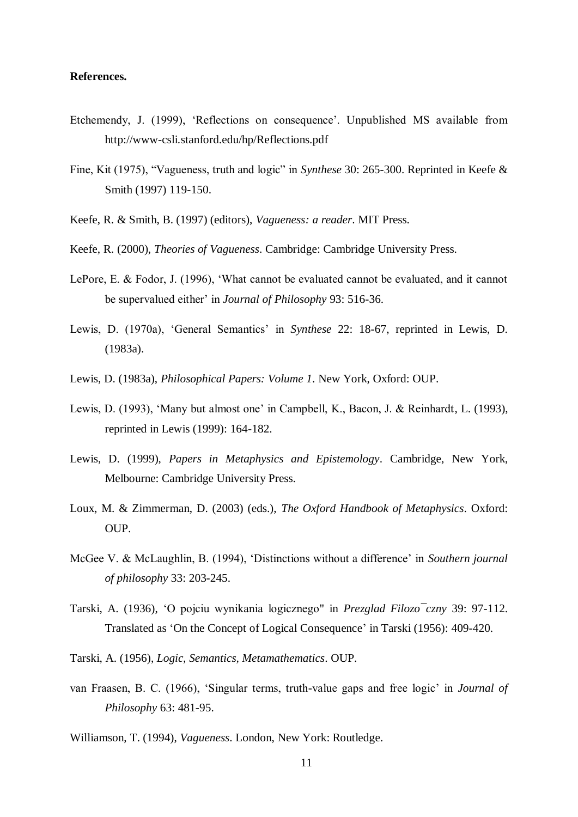# **References.**

- Etchemendy, J. (1999), 'Reflections on consequence'. Unpublished MS available from http://www-csli.stanford.edu/hp/Reflections.pdf
- Fine, Kit (1975), "Vagueness, truth and logic" in *Synthese* 30: 265-300. Reprinted in Keefe & Smith (1997) 119-150.
- Keefe, R. & Smith, B. (1997) (editors), *Vagueness: a reader*. MIT Press.
- Keefe, R. (2000), *Theories of Vagueness*. Cambridge: Cambridge University Press.
- LePore, E. & Fodor, J. (1996), "What cannot be evaluated cannot be evaluated, and it cannot be supervalued either" in *Journal of Philosophy* 93: 516-36.
- Lewis, D. (1970a), "General Semantics" in *Synthese* 22: 18-67, reprinted in Lewis, D. (1983a).
- Lewis, D. (1983a), *Philosophical Papers: Volume 1*. New York, Oxford: OUP.
- Lewis, D. (1993), "Many but almost one" in Campbell, K., Bacon, J. & Reinhardt, L. (1993), reprinted in Lewis (1999): 164-182.
- Lewis, D. (1999), *Papers in Metaphysics and Epistemology*. Cambridge, New York, Melbourne: Cambridge University Press.
- Loux, M. & Zimmerman, D. (2003) (eds.), *The Oxford Handbook of Metaphysics*. Oxford: OUP.
- McGee V. & McLaughlin, B. (1994), "Distinctions without a difference" in *Southern journal of philosophy* 33: 203-245.
- Tarski, A. (1936), "O pojciu wynikania logicznego" in *Prezglad Filozo¯czny* 39: 97-112. Translated as "On the Concept of Logical Consequence" in Tarski (1956): 409-420.
- Tarski, A. (1956), *Logic, Semantics, Metamathematics*. OUP.
- van Fraasen, B. C. (1966), "Singular terms, truth-value gaps and free logic" in *Journal of Philosophy* 63: 481-95.
- Williamson, T. (1994), *Vagueness*. London, New York: Routledge.